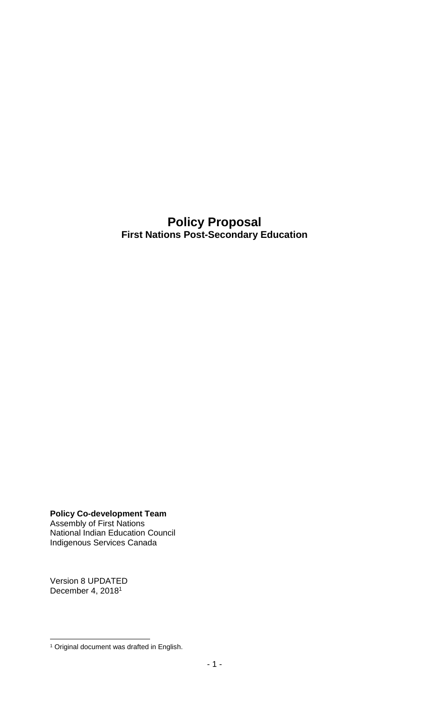### **Policy Proposal First Nations Post-Secondary Education**

**Policy Co-development Team** Assembly of First Nations National Indian Education Council Indigenous Services Canada

Version 8 UPDATED December 4, 2018<sup>1</sup>

 $\overline{a}$ <sup>1</sup> Original document was drafted in English.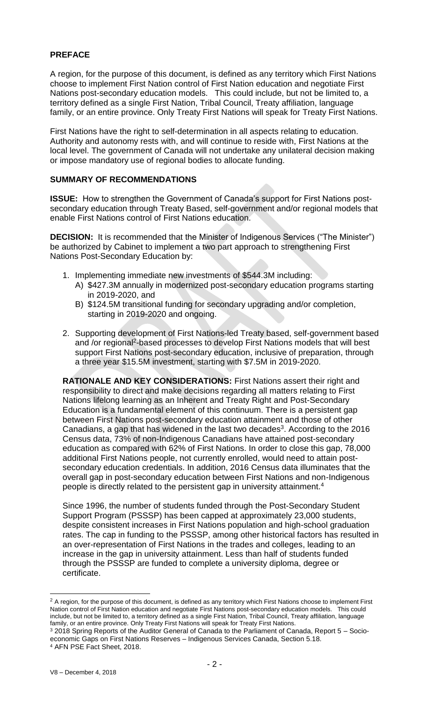#### **PREFACE**

A region, for the purpose of this document, is defined as any territory which First Nations choose to implement First Nation control of First Nation education and negotiate First Nations post-secondary education models. This could include, but not be limited to, a territory defined as a single First Nation, Tribal Council, Treaty affiliation, language family, or an entire province. Only Treaty First Nations will speak for Treaty First Nations.

First Nations have the right to self-determination in all aspects relating to education. Authority and autonomy rests with, and will continue to reside with, First Nations at the local level. The government of Canada will not undertake any unilateral decision making or impose mandatory use of regional bodies to allocate funding.

#### **SUMMARY OF RECOMMENDATIONS**

**ISSUE:** How to strengthen the Government of Canada's support for First Nations postsecondary education through Treaty Based, self-government and/or regional models that enable First Nations control of First Nations education.

**DECISION:** It is recommended that the Minister of Indigenous Services ("The Minister") be authorized by Cabinet to implement a two part approach to strengthening First Nations Post-Secondary Education by:

- 1. Implementing immediate new investments of \$544.3M including:
	- A) \$427.3M annually in modernized post-secondary education programs starting in 2019-2020, and
	- B) \$124.5M transitional funding for secondary upgrading and/or completion, starting in 2019-2020 and ongoing.
- 2. Supporting development of First Nations-led Treaty based, self-government based and /or regional<sup>2</sup>-based processes to develop First Nations models that will best support First Nations post-secondary education, inclusive of preparation, through a three year \$15.5M investment, starting with \$7.5M in 2019-2020.

**RATIONALE AND KEY CONSIDERATIONS:** First Nations assert their right and responsibility to direct and make decisions regarding all matters relating to First Nations lifelong learning as an Inherent and Treaty Right and Post-Secondary Education is a fundamental element of this continuum. There is a persistent gap between First Nations post-secondary education attainment and those of other Canadians, a gap that has widened in the last two decades<sup>3</sup>. According to the 2016 Census data, 73% of non-Indigenous Canadians have attained post-secondary education as compared with 62% of First Nations. In order to close this gap, 78,000 additional First Nations people, not currently enrolled, would need to attain postsecondary education credentials. In addition, 2016 Census data illuminates that the overall gap in post-secondary education between First Nations and non-Indigenous people is directly related to the persistent gap in university attainment.<sup>4</sup>

Since 1996, the number of students funded through the Post-Secondary Student Support Program (PSSSP) has been capped at approximately 23,000 students, despite consistent increases in First Nations population and high-school graduation rates. The cap in funding to the PSSSP, among other historical factors has resulted in an over-representation of First Nations in the trades and colleges, leading to an increase in the gap in university attainment. Less than half of students funded through the PSSSP are funded to complete a university diploma, degree or certificate.

 $\overline{a}$ 

<sup>&</sup>lt;sup>2</sup> A region, for the purpose of this document, is defined as any territory which First Nations choose to implement First Nation control of First Nation education and negotiate First Nations post-secondary education models. This could include, but not be limited to, a territory defined as a single First Nation, Tribal Council, Treaty affiliation, language family, or an entire province. Only Treaty First Nations will speak for Treaty First Nations.

<sup>&</sup>lt;sup>3</sup> 2018 Spring Reports of the Auditor General of Canada to the Parliament of Canada, Report 5 – Socioeconomic Gaps on First Nations Reserves – Indigenous Services Canada, Section 5.18. <sup>4</sup> AFN PSE Fact Sheet, 2018.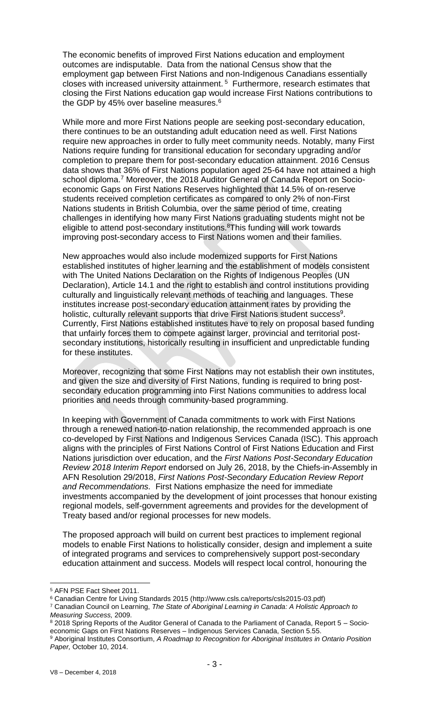The economic benefits of improved First Nations education and employment outcomes are indisputable. Data from the national Census show that the employment gap between First Nations and non-Indigenous Canadians essentially closes with increased university attainment. <sup>5</sup> Furthermore, research estimates that closing the First Nations education gap would increase First Nations contributions to the GDP by 45% over baseline measures.<sup>6</sup>

While more and more First Nations people are seeking post-secondary education, there continues to be an outstanding adult education need as well. First Nations require new approaches in order to fully meet community needs. Notably, many First Nations require funding for transitional education for secondary upgrading and/or completion to prepare them for post-secondary education attainment. 2016 Census data shows that 36% of First Nations population aged 25-64 have not attained a high school diploma.<sup>7</sup> Moreover, the 2018 Auditor General of Canada Report on Socioeconomic Gaps on First Nations Reserves highlighted that 14.5% of on-reserve students received completion certificates as compared to only 2% of non-First Nations students in British Columbia, over the same period of time, creating challenges in identifying how many First Nations graduating students might not be eligible to attend post-secondary institutions.<sup>8</sup>This funding will work towards improving post-secondary access to First Nations women and their families.

New approaches would also include modernized supports for First Nations established institutes of higher learning and the establishment of models consistent with The United Nations Declaration on the Rights of Indigenous Peoples (UN Declaration), Article 14.1 and the right to establish and control institutions providing culturally and linguistically relevant methods of teaching and languages. These institutes increase post-secondary education attainment rates by providing the holistic, culturally relevant supports that drive First Nations student success<sup>9</sup>. Currently, First Nations established institutes have to rely on proposal based funding that unfairly forces them to compete against larger, provincial and territorial postsecondary institutions, historically resulting in insufficient and unpredictable funding for these institutes.

Moreover, recognizing that some First Nations may not establish their own institutes, and given the size and diversity of First Nations, funding is required to bring postsecondary education programming into First Nations communities to address local priorities and needs through community-based programming.

In keeping with Government of Canada commitments to work with First Nations through a renewed nation-to-nation relationship, the recommended approach is one co-developed by First Nations and Indigenous Services Canada (ISC). This approach aligns with the principles of First Nations Control of First Nations Education and First Nations jurisdiction over education, and the *First Nations Post-Secondary Education Review 2018 Interim Report* endorsed on July 26, 2018, by the Chiefs-in-Assembly in AFN Resolution 29/2018, *First Nations Post-Secondary Education Review Report and Recommendations.* First Nations emphasize the need for immediate investments accompanied by the development of joint processes that honour existing regional models, self-government agreements and provides for the development of Treaty based and/or regional processes for new models.

The proposed approach will build on current best practices to implement regional models to enable First Nations to holistically consider, design and implement a suite of integrated programs and services to comprehensively support post-secondary education attainment and success. Models will respect local control, honouring the

 $\overline{a}$ 

<sup>5</sup> AFN PSE Fact Sheet 2011.

<sup>6</sup> Canadian Centre for Living Standards 2015 (http://www.csls.ca/reports/csls2015-03.pdf)

<sup>7</sup> Canadian Council on Learning, *The State of Aboriginal Learning in Canada: A Holistic Approach to Measuring Success,* 2009.

<sup>&</sup>lt;sup>8</sup> 2018 Spring Reports of the Auditor General of Canada to the Parliament of Canada, Report 5 - Socioeconomic Gaps on First Nations Reserves – Indigenous Services Canada, Section 5.55.

<sup>9</sup> Aboriginal Institutes Consortium, *A Roadmap to Recognition for Aboriginal Institutes in Ontario Position Paper,* October 10, 2014.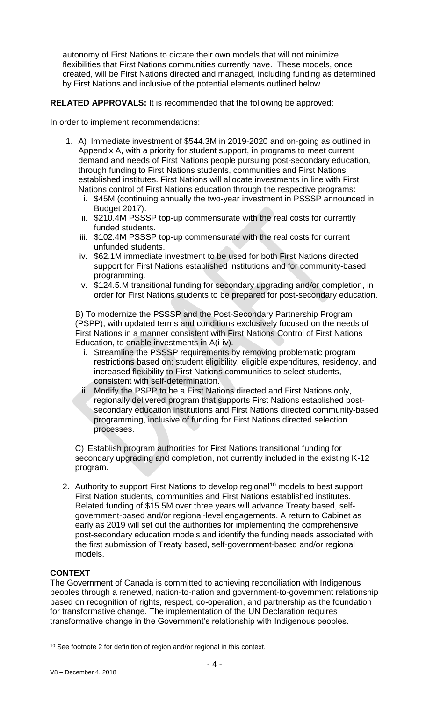autonomy of First Nations to dictate their own models that will not minimize flexibilities that First Nations communities currently have. These models, once created, will be First Nations directed and managed, including funding as determined by First Nations and inclusive of the potential elements outlined below.

### **RELATED APPROVALS:** It is recommended that the following be approved:

In order to implement recommendations:

- 1. A) Immediate investment of \$544.3M in 2019-2020 and on-going as outlined in Appendix A, with a priority for student support, in programs to meet current demand and needs of First Nations people pursuing post-secondary education, through funding to First Nations students, communities and First Nations established institutes. First Nations will allocate investments in line with First Nations control of First Nations education through the respective programs:
	- i. \$45M (continuing annually the two-year investment in PSSSP announced in Budget 2017).
	- ii. \$210.4M PSSSP top-up commensurate with the real costs for currently funded students.
	- iii. \$102.4M PSSSP top-up commensurate with the real costs for current unfunded students.
	- iv. \$62.1M immediate investment to be used for both First Nations directed support for First Nations established institutions and for community-based programming.
	- v. \$124.5.M transitional funding for secondary upgrading and/or completion, in order for First Nations students to be prepared for post-secondary education.

B) To modernize the PSSSP and the Post-Secondary Partnership Program (PSPP), with updated terms and conditions exclusively focused on the needs of First Nations in a manner consistent with First Nations Control of First Nations Education, to enable investments in A(i-iv).

- i. Streamline the PSSSP requirements by removing problematic program restrictions based on: student eligibility, eligible expenditures, residency, and increased flexibility to First Nations communities to select students, consistent with self-determination.
- ii. Modify the PSPP to be a First Nations directed and First Nations only, regionally delivered program that supports First Nations established postsecondary education institutions and First Nations directed community-based programming, inclusive of funding for First Nations directed selection processes.

C) Establish program authorities for First Nations transitional funding for secondary upgrading and completion, not currently included in the existing K-12 program.

2. Authority to support First Nations to develop regional<sup>10</sup> models to best support First Nation students, communities and First Nations established institutes. Related funding of \$15.5M over three years will advance Treaty based, selfgovernment-based and/or regional-level engagements. A return to Cabinet as early as 2019 will set out the authorities for implementing the comprehensive post-secondary education models and identify the funding needs associated with the first submission of Treaty based, self-government-based and/or regional models.

#### **CONTEXT**

The Government of Canada is committed to achieving reconciliation with Indigenous peoples through a renewed, nation-to-nation and government-to-government relationship based on recognition of rights, respect, co-operation, and partnership as the foundation for transformative change. The implementation of the UN Declaration requires transformative change in the Government's relationship with Indigenous peoples.

 $\overline{a}$ <sup>10</sup> See footnote 2 for definition of region and/or regional in this context.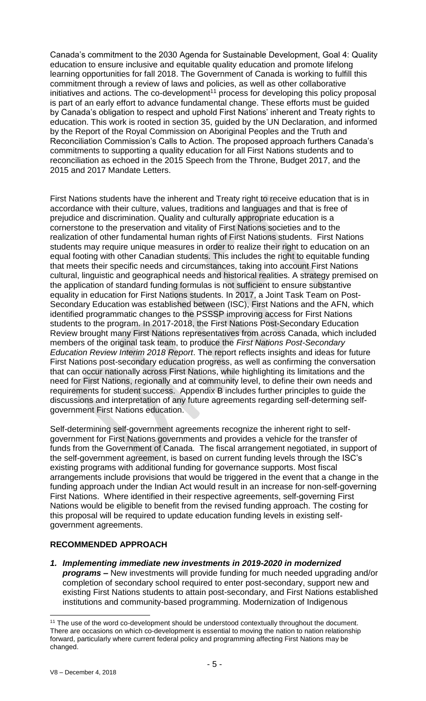Canada's commitment to the 2030 Agenda for Sustainable Development, Goal 4: Quality education to ensure inclusive and equitable quality education and promote lifelong learning opportunities for fall 2018. The Government of Canada is working to fulfill this commitment through a review of laws and policies, as well as other collaborative initiatives and actions. The co-development<sup>11</sup> process for developing this policy proposal is part of an early effort to advance fundamental change. These efforts must be guided by Canada's obligation to respect and uphold First Nations' inherent and Treaty rights to education. This work is rooted in section 35, guided by the UN Declaration, and informed by the Report of the Royal Commission on Aboriginal Peoples and the Truth and Reconciliation Commission's Calls to Action. The proposed approach furthers Canada's commitments to supporting a quality education for all First Nations students and to reconciliation as echoed in the 2015 Speech from the Throne, Budget 2017, and the 2015 and 2017 Mandate Letters.

First Nations students have the inherent and Treaty right to receive education that is in accordance with their culture, values, traditions and languages and that is free of prejudice and discrimination. Quality and culturally appropriate education is a cornerstone to the preservation and vitality of First Nations societies and to the realization of other fundamental human rights of First Nations students. First Nations students may require unique measures in order to realize their right to education on an equal footing with other Canadian students. This includes the right to equitable funding that meets their specific needs and circumstances, taking into account First Nations cultural, linguistic and geographical needs and historical realities. A strategy premised on the application of standard funding formulas is not sufficient to ensure substantive equality in education for First Nations students. In 2017, a Joint Task Team on Post-Secondary Education was established between (ISC), First Nations and the AFN, which identified programmatic changes to the PSSSP improving access for First Nations students to the program. In 2017-2018, the First Nations Post-Secondary Education Review brought many First Nations representatives from across Canada, which included members of the original task team, to produce the *First Nations Post-Secondary Education Review Interim 2018 Report*. The report reflects insights and ideas for future First Nations post-secondary education progress, as well as confirming the conversation that can occur nationally across First Nations, while highlighting its limitations and the need for First Nations, regionally and at community level, to define their own needs and requirements for student success. Appendix B includes further principles to guide the discussions and interpretation of any future agreements regarding self-determing selfgovernment First Nations education.

Self-determining self-government agreements recognize the inherent right to selfgovernment for First Nations governments and provides a vehicle for the transfer of funds from the Government of Canada. The fiscal arrangement negotiated, in support of the self-government agreement, is based on current funding levels through the ISC's existing programs with additional funding for governance supports. Most fiscal arrangements include provisions that would be triggered in the event that a change in the funding approach under the Indian Act would result in an increase for non-self-governing First Nations. Where identified in their respective agreements, self-governing First Nations would be eligible to benefit from the revised funding approach. The costing for this proposal will be required to update education funding levels in existing selfgovernment agreements.

#### **RECOMMENDED APPROACH**

*1. Implementing immediate new investments in 2019-2020 in modernized programs* **–** New investments will provide funding for much needed upgrading and/or completion of secondary school required to enter post-secondary, support new and existing First Nations students to attain post-secondary, and First Nations established institutions and community-based programming. Modernization of Indigenous

 $\overline{a}$ <sup>11</sup> The use of the word co-development should be understood contextually throughout the document. There are occasions on which co-development is essential to moving the nation to nation relationship forward, particularly where current federal policy and programming affecting First Nations may be changed.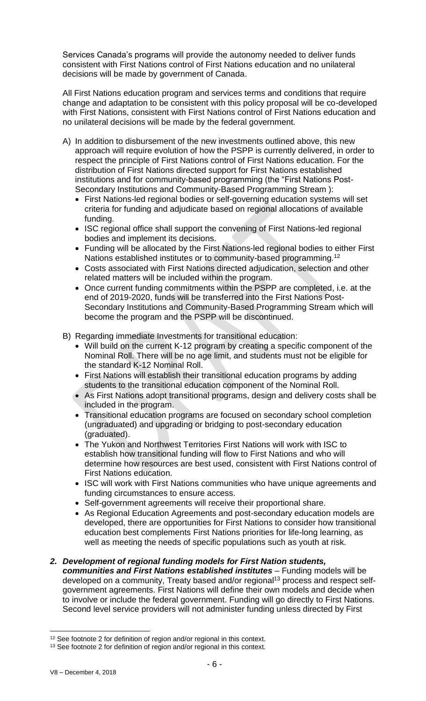Services Canada's programs will provide the autonomy needed to deliver funds consistent with First Nations control of First Nations education and no unilateral decisions will be made by government of Canada.

All First Nations education program and services terms and conditions that require change and adaptation to be consistent with this policy proposal will be co-developed with First Nations, consistent with First Nations control of First Nations education and no unilateral decisions will be made by the federal government.

- A) In addition to disbursement of the new investments outlined above, this new approach will require evolution of how the PSPP is currently delivered, in order to respect the principle of First Nations control of First Nations education. For the distribution of First Nations directed support for First Nations established institutions and for community-based programming (the "First Nations Post-Secondary Institutions and Community-Based Programming Stream ):
	- First Nations-led regional bodies or self-governing education systems will set criteria for funding and adjudicate based on regional allocations of available funding.
	- ISC regional office shall support the convening of First Nations-led regional bodies and implement its decisions.
	- Funding will be allocated by the First Nations-led regional bodies to either First Nations established institutes or to community-based programming.<sup>12</sup>
	- Costs associated with First Nations directed adjudication, selection and other related matters will be included within the program.
	- Once current funding commitments within the PSPP are completed, i.e. at the end of 2019-2020, funds will be transferred into the First Nations Post-Secondary Institutions and Community-Based Programming Stream which will become the program and the PSPP will be discontinued.
- B) Regarding immediate Investments for transitional education:
	- Will build on the current K-12 program by creating a specific component of the Nominal Roll. There will be no age limit, and students must not be eligible for the standard K-12 Nominal Roll.
	- First Nations will establish their transitional education programs by adding students to the transitional education component of the Nominal Roll.
	- As First Nations adopt transitional programs, design and delivery costs shall be included in the program.
	- Transitional education programs are focused on secondary school completion (ungraduated) and upgrading or bridging to post-secondary education (graduated).
	- The Yukon and Northwest Territories First Nations will work with ISC to establish how transitional funding will flow to First Nations and who will determine how resources are best used, consistent with First Nations control of First Nations education.
	- ISC will work with First Nations communities who have unique agreements and funding circumstances to ensure access.
	- Self-government agreements will receive their proportional share.
	- As Regional Education Agreements and post-secondary education models are developed, there are opportunities for First Nations to consider how transitional education best complements First Nations priorities for life-long learning, as well as meeting the needs of specific populations such as youth at risk.
- *2. Development of regional funding models for First Nation students, communities and First Nations established institutes* – Funding models will be developed on a community, Treaty based and/or regional<sup>13</sup> process and respect selfgovernment agreements. First Nations will define their own models and decide when to involve or include the federal government. Funding will go directly to First Nations. Second level service providers will not administer funding unless directed by First

 $\overline{a}$ 

<sup>&</sup>lt;sup>12</sup> See footnote 2 for definition of region and/or regional in this context.

<sup>&</sup>lt;sup>13</sup> See footnote 2 for definition of region and/or regional in this context.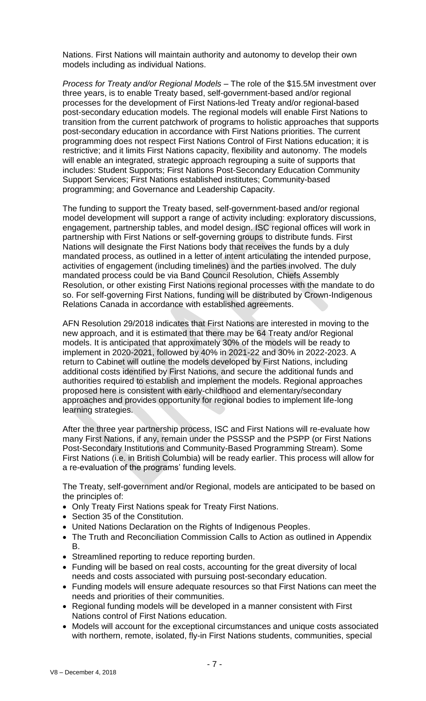Nations. First Nations will maintain authority and autonomy to develop their own models including as individual Nations.

*Process for Treaty and/or Regional Models* – The role of the \$15.5M investment over three years, is to enable Treaty based, self-government-based and/or regional processes for the development of First Nations-led Treaty and/or regional-based post-secondary education models. The regional models will enable First Nations to transition from the current patchwork of programs to holistic approaches that supports post-secondary education in accordance with First Nations priorities. The current programming does not respect First Nations Control of First Nations education; it is restrictive; and it limits First Nations capacity, flexibility and autonomy. The models will enable an integrated, strategic approach regrouping a suite of supports that includes: Student Supports; First Nations Post-Secondary Education Community Support Services; First Nations established institutes; Community-based programming; and Governance and Leadership Capacity.

The funding to support the Treaty based, self-government-based and/or regional model development will support a range of activity including: exploratory discussions, engagement, partnership tables, and model design. ISC regional offices will work in partnership with First Nations or self-governing groups to distribute funds. First Nations will designate the First Nations body that receives the funds by a duly mandated process, as outlined in a letter of intent articulating the intended purpose, activities of engagement (including timelines) and the parties involved. The duly mandated process could be via Band Council Resolution, Chiefs Assembly Resolution, or other existing First Nations regional processes with the mandate to do so. For self-governing First Nations, funding will be distributed by Crown-Indigenous Relations Canada in accordance with established agreements.

AFN Resolution 29/2018 indicates that First Nations are interested in moving to the new approach, and it is estimated that there may be 64 Treaty and/or Regional models. It is anticipated that approximately 30% of the models will be ready to implement in 2020-2021, followed by 40% in 2021-22 and 30% in 2022-2023. A return to Cabinet will outline the models developed by First Nations, including additional costs identified by First Nations, and secure the additional funds and authorities required to establish and implement the models. Regional approaches proposed here is consistent with early-childhood and elementary/secondary approaches and provides opportunity for regional bodies to implement life-long learning strategies.

After the three year partnership process, ISC and First Nations will re-evaluate how many First Nations, if any, remain under the PSSSP and the PSPP (or First Nations Post-Secondary Institutions and Community-Based Programming Stream). Some First Nations (i.e. in British Columbia) will be ready earlier. This process will allow for a re-evaluation of the programs' funding levels.

The Treaty, self-government and/or Regional, models are anticipated to be based on the principles of:

- Only Treaty First Nations speak for Treaty First Nations.
- Section 35 of the Constitution.
- United Nations Declaration on the Rights of Indigenous Peoples.
- The Truth and Reconciliation Commission Calls to Action as outlined in Appendix B.
- Streamlined reporting to reduce reporting burden.
- Funding will be based on real costs, accounting for the great diversity of local needs and costs associated with pursuing post-secondary education.
- Funding models will ensure adequate resources so that First Nations can meet the needs and priorities of their communities.
- Regional funding models will be developed in a manner consistent with First Nations control of First Nations education.
- Models will account for the exceptional circumstances and unique costs associated with northern, remote, isolated, fly-in First Nations students, communities, special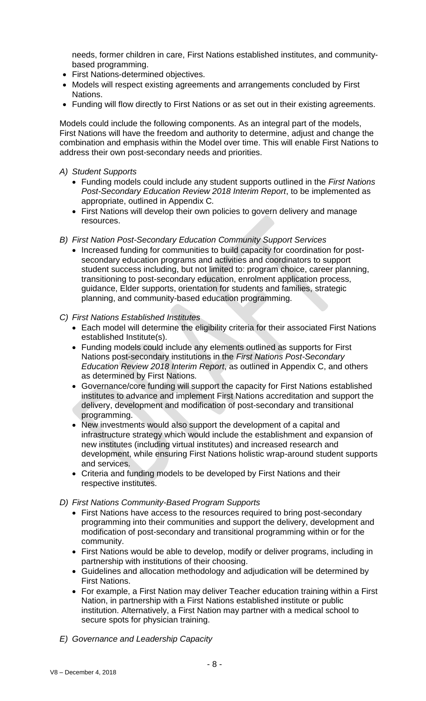needs, former children in care, First Nations established institutes, and communitybased programming.

- First Nations-determined objectives.
- Models will respect existing agreements and arrangements concluded by First Nations.
- Funding will flow directly to First Nations or as set out in their existing agreements.

Models could include the following components. As an integral part of the models, First Nations will have the freedom and authority to determine, adjust and change the combination and emphasis within the Model over time. This will enable First Nations to address their own post-secondary needs and priorities.

- *A) Student Supports*
	- Funding models could include any student supports outlined in the *First Nations Post-Secondary Education Review 2018 Interim Report*, to be implemented as appropriate, outlined in Appendix C*.*
	- First Nations will develop their own policies to govern delivery and manage resources.
- *B) First Nation Post-Secondary Education Community Support Services*
	- Increased funding for communities to build capacity for coordination for postsecondary education programs and activities and coordinators to support student success including, but not limited to: program choice, career planning, transitioning to post-secondary education, enrolment application process, guidance, Elder supports, orientation for students and families, strategic planning, and community-based education programming.
- *C) First Nations Established Institutes*
	- Each model will determine the eligibility criteria for their associated First Nations established Institute(s).
	- Funding models could include any elements outlined as supports for First Nations post-secondary institutions in the *First Nations Post-Secondary Education Review 2018 Interim Report*, as outlined in Appendix C, and others as determined by First Nations*.*
	- Governance/core funding will support the capacity for First Nations established institutes to advance and implement First Nations accreditation and support the delivery, development and modification of post-secondary and transitional programming.
	- New investments would also support the development of a capital and infrastructure strategy which would include the establishment and expansion of new institutes (including virtual institutes) and increased research and development, while ensuring First Nations holistic wrap-around student supports and services.
	- Criteria and funding models to be developed by First Nations and their respective institutes.
- *D) First Nations Community-Based Program Supports*
	- First Nations have access to the resources required to bring post-secondary programming into their communities and support the delivery, development and modification of post-secondary and transitional programming within or for the community.
	- First Nations would be able to develop, modify or deliver programs, including in partnership with institutions of their choosing.
	- Guidelines and allocation methodology and adjudication will be determined by First Nations.
	- For example, a First Nation may deliver Teacher education training within a First Nation, in partnership with a First Nations established institute or public institution. Alternatively, a First Nation may partner with a medical school to secure spots for physician training.
- *E) Governance and Leadership Capacity*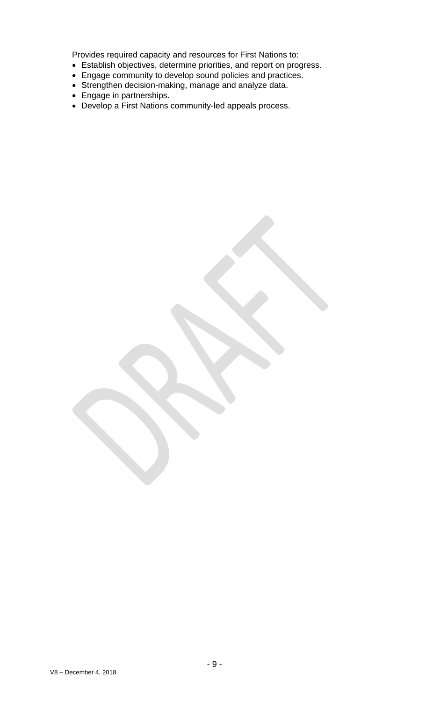Provides required capacity and resources for First Nations to:

- Establish objectives, determine priorities, and report on progress.
- Engage community to develop sound policies and practices.
- Strengthen decision-making, manage and analyze data.
- Engage in partnerships.
- Develop a First Nations community-led appeals process.

V8 – December 4, 2018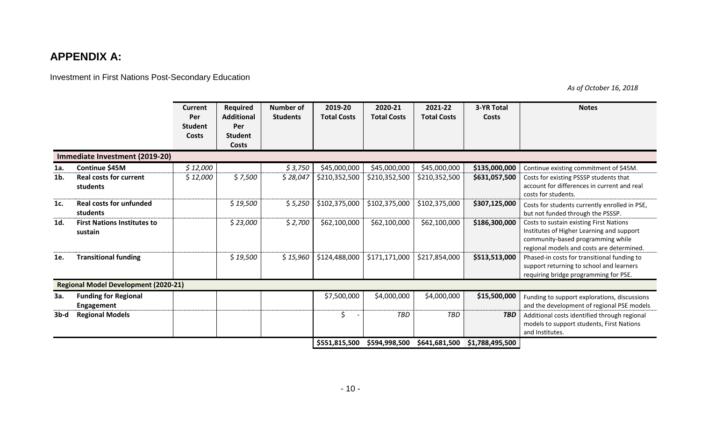## **APPENDIX A:**

Investment in First Nations Post-Secondary Education

*As of October 16, 2018*

|                                             |                                                  | <b>Current</b><br>Per<br><b>Student</b><br>Costs | Required<br><b>Additional</b><br>Per<br><b>Student</b> | <b>Number of</b><br><b>Students</b> | 2019-20<br><b>Total Costs</b> | 2020-21<br><b>Total Costs</b> | 2021-22<br><b>Total Costs</b> | <b>3-YR Total</b><br>Costs | <b>Notes</b>                                                                                                                                                           |
|---------------------------------------------|--------------------------------------------------|--------------------------------------------------|--------------------------------------------------------|-------------------------------------|-------------------------------|-------------------------------|-------------------------------|----------------------------|------------------------------------------------------------------------------------------------------------------------------------------------------------------------|
|                                             | Immediate Investment (2019-20)                   |                                                  | <b>Costs</b>                                           |                                     |                               |                               |                               |                            |                                                                                                                                                                        |
| 1a.                                         | Continue \$45M                                   | \$12,000                                         |                                                        | \$3,750                             | \$45,000,000                  | \$45,000,000                  | \$45,000,000                  | \$135,000,000              | Continue existing commitment of \$45M.                                                                                                                                 |
| $1b$ .                                      | <b>Real costs for current</b><br>students        | \$12,000                                         | \$7,500                                                | \$28,047                            | \$210,352,500                 | \$210,352,500                 | \$210,352,500                 | \$631,057,500              | Costs for existing PSSSP students that<br>account for differences in current and real<br>costs for students.                                                           |
| 1c.                                         | <b>Real costs for unfunded</b><br>students       |                                                  | \$19,500                                               | \$5,250                             | \$102,375,000                 | \$102,375,000                 | \$102,375,000                 | \$307,125,000              | Costs for students currently enrolled in PSE,<br>but not funded through the PSSSP.                                                                                     |
| 1d.                                         | <b>First Nations Institutes to</b><br>sustain    |                                                  | \$23,000                                               | \$2,700                             | \$62,100,000                  | \$62,100,000                  | \$62,100,000                  | \$186,300,000              | Costs to sustain existing First Nations<br>Institutes of Higher Learning and support<br>community-based programming while<br>regional models and costs are determined. |
| 1e.                                         | <b>Transitional funding</b>                      |                                                  | \$19,500                                               | \$15,960                            | \$124,488,000                 | \$171,171,000                 | \$217,854,000                 | \$513,513,000              | Phased-in costs for transitional funding to<br>support returning to school and learners<br>requiring bridge programming for PSE.                                       |
| <b>Regional Model Development (2020-21)</b> |                                                  |                                                  |                                                        |                                     |                               |                               |                               |                            |                                                                                                                                                                        |
| 3a.                                         | <b>Funding for Regional</b><br><b>Engagement</b> |                                                  |                                                        |                                     | \$7,500,000                   | \$4,000,000                   | \$4,000,000                   | \$15,500,000               | Funding to support explorations, discussions<br>and the development of regional PSE models                                                                             |
| $3b-d$                                      | <b>Regional Models</b>                           |                                                  |                                                        |                                     | \$                            | <b>TBD</b>                    | <b>TBD</b>                    | <b>TBD</b>                 | Additional costs identified through regional<br>models to support students, First Nations<br>and Institutes.                                                           |
|                                             |                                                  |                                                  |                                                        |                                     | \$551,815,500                 | \$594,998,500                 | \$641,681,500                 | \$1,788,495,500            |                                                                                                                                                                        |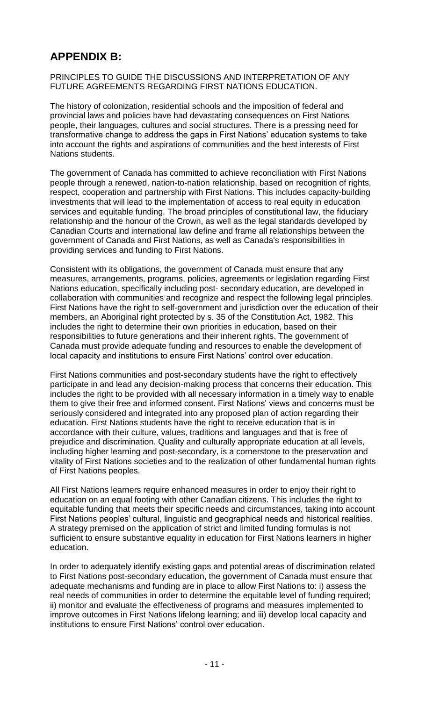## **APPENDIX B:**

PRINCIPLES TO GUIDE THE DISCUSSIONS AND INTERPRETATION OF ANY FUTURE AGREEMENTS REGARDING FIRST NATIONS EDUCATION.

The history of colonization, residential schools and the imposition of federal and provincial laws and policies have had devastating consequences on First Nations people, their languages, cultures and social structures. There is a pressing need for transformative change to address the gaps in First Nations' education systems to take into account the rights and aspirations of communities and the best interests of First Nations students.

The government of Canada has committed to achieve reconciliation with First Nations people through a renewed, nation-to-nation relationship, based on recognition of rights, respect, cooperation and partnership with First Nations. This includes capacity-building investments that will lead to the implementation of access to real equity in education services and equitable funding. The broad principles of constitutional law, the fiduciary relationship and the honour of the Crown, as well as the legal standards developed by Canadian Courts and international law define and frame all relationships between the government of Canada and First Nations, as well as Canada's responsibilities in providing services and funding to First Nations.

Consistent with its obligations, the government of Canada must ensure that any measures, arrangements, programs, policies, agreements or legislation regarding First Nations education, specifically including post- secondary education, are developed in collaboration with communities and recognize and respect the following legal principles. First Nations have the right to self-government and jurisdiction over the education of their members, an Aboriginal right protected by s. 35 of the Constitution Act, 1982. This includes the right to determine their own priorities in education, based on their responsibilities to future generations and their inherent rights. The government of Canada must provide adequate funding and resources to enable the development of local capacity and institutions to ensure First Nations' control over education.

First Nations communities and post-secondary students have the right to effectively participate in and lead any decision-making process that concerns their education. This includes the right to be provided with all necessary information in a timely way to enable them to give their free and informed consent. First Nations' views and concerns must be seriously considered and integrated into any proposed plan of action regarding their education. First Nations students have the right to receive education that is in accordance with their culture, values, traditions and languages and that is free of prejudice and discrimination. Quality and culturally appropriate education at all levels, including higher learning and post-secondary, is a cornerstone to the preservation and vitality of First Nations societies and to the realization of other fundamental human rights of First Nations peoples.

All First Nations learners require enhanced measures in order to enjoy their right to education on an equal footing with other Canadian citizens. This includes the right to equitable funding that meets their specific needs and circumstances, taking into account First Nations peoples' cultural, linguistic and geographical needs and historical realities. A strategy premised on the application of strict and limited funding formulas is not sufficient to ensure substantive equality in education for First Nations learners in higher education.

In order to adequately identify existing gaps and potential areas of discrimination related to First Nations post-secondary education, the government of Canada must ensure that adequate mechanisms and funding are in place to allow First Nations to: i) assess the real needs of communities in order to determine the equitable level of funding required; ii) monitor and evaluate the effectiveness of programs and measures implemented to improve outcomes in First Nations lifelong learning; and iii) develop local capacity and institutions to ensure First Nations' control over education.